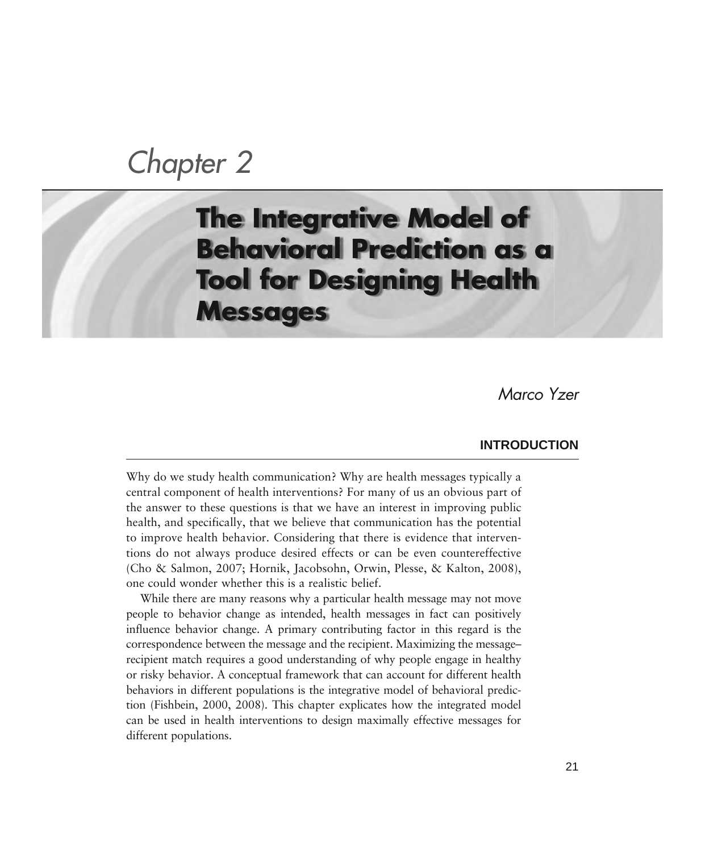# *Chapter 2*

## **The Integrative Model of Behavioral Prediction as a Tool for Designing Health Messages**

*Marco Yzer* 

## **INTRODUCTION**

Why do we study health communication? Why are health messages typically a central component of health interventions? For many of us an obvious part of the answer to these questions is that we have an interest in improving public health, and specifically, that we believe that communication has the potential to improve health behavior. Considering that there is evidence that interventions do not always produce desired effects or can be even countereffective (Cho & Salmon, 2007; Hornik, Jacobsohn, Orwin, Plesse, & Kalton, 2008), one could wonder whether this is a realistic belief.

While there are many reasons why a particular health message may not move people to behavior change as intended, health messages in fact can positively influence behavior change. A primary contributing factor in this regard is the correspondence between the message and the recipient. Maximizing the message– recipient match requires a good understanding of why people engage in healthy or risky behavior. A conceptual framework that can account for different health behaviors in different populations is the integrative model of behavioral prediction (Fishbein, 2000, 2008). This chapter explicates how the integrated model can be used in health interventions to design maximally effective messages for different populations.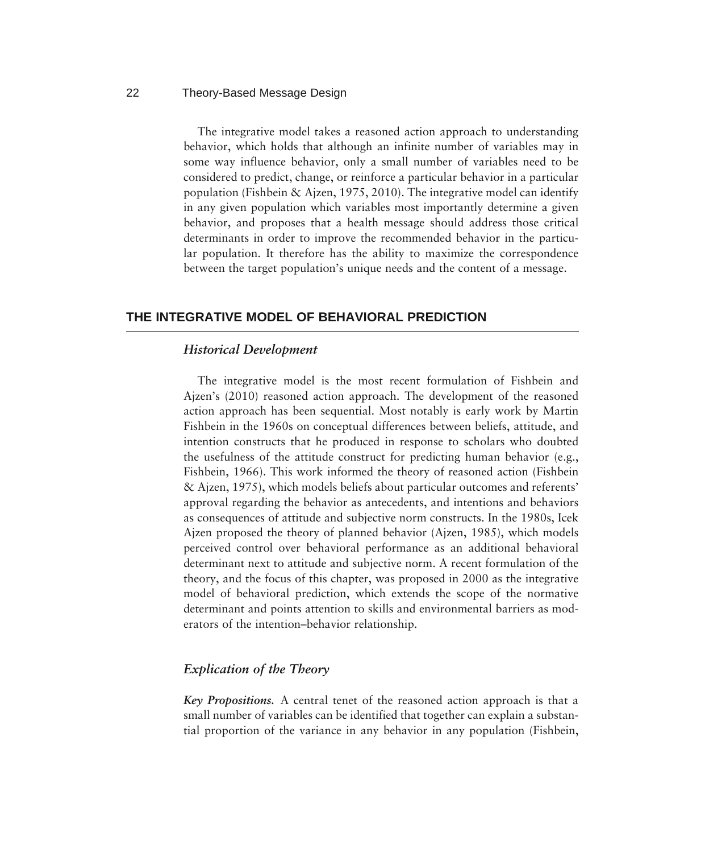The integrative model takes a reasoned action approach to understanding behavior, which holds that although an infinite number of variables may in some way influence behavior, only a small number of variables need to be considered to predict, change, or reinforce a particular behavior in a particular population (Fishbein & Ajzen, 1975, 2010). The integrative model can identify in any given population which variables most importantly determine a given behavior, and proposes that a health message should address those critical determinants in order to improve the recommended behavior in the particular population. It therefore has the ability to maximize the correspondence between the target population's unique needs and the content of a message.

## **THE INTEGRATIVE MODEL OF BEHAVIORAL PREDICTION**

## *Historical Development*

The integrative model is the most recent formulation of Fishbein and Ajzen's (2010) reasoned action approach. The development of the reasoned action approach has been sequential. Most notably is early work by Martin Fishbein in the 1960s on conceptual differences between beliefs, attitude, and intention constructs that he produced in response to scholars who doubted the usefulness of the attitude construct for predicting human behavior (e.g., Fishbein, 1966). This work informed the theory of reasoned action (Fishbein & Ajzen, 1975), which models beliefs about particular outcomes and referents' approval regarding the behavior as antecedents, and intentions and behaviors as consequences of attitude and subjective norm constructs. In the 1980s, Icek Ajzen proposed the theory of planned behavior (Ajzen, 1985), which models perceived control over behavioral performance as an additional behavioral determinant next to attitude and subjective norm. A recent formulation of the theory, and the focus of this chapter, was proposed in 2000 as the integrative model of behavioral prediction, which extends the scope of the normative determinant and points attention to skills and environmental barriers as moderators of the intention–behavior relationship.

## *Explication of the Theory*

*Key Propositions.* A central tenet of the reasoned action approach is that a small number of variables can be identified that together can explain a substantial proportion of the variance in any behavior in any population (Fishbein,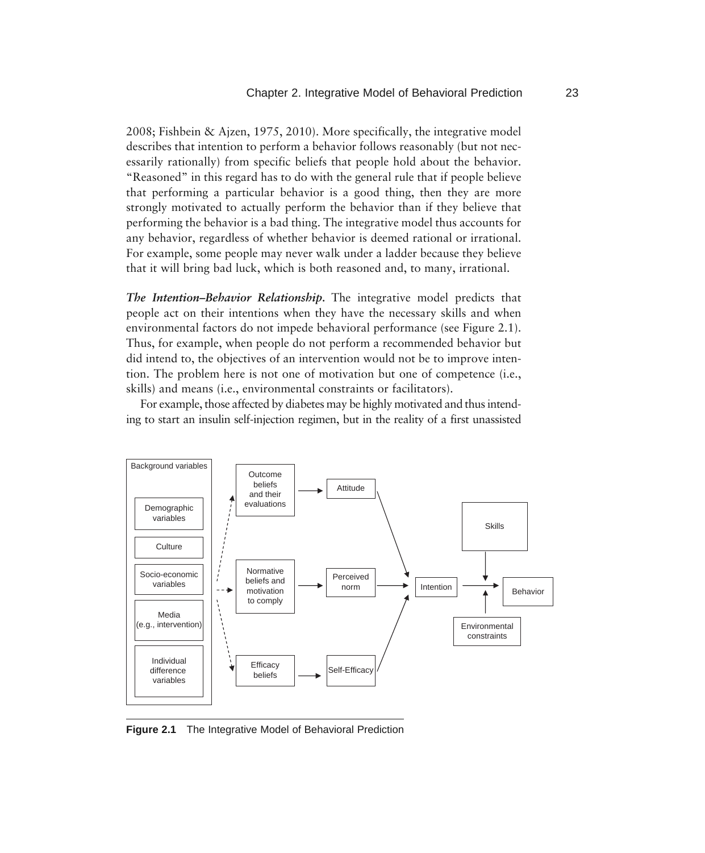2008; Fishbein & Ajzen, 1975, 2010). More specifically, the integrative model describes that intention to perform a behavior follows reasonably (but not necessarily rationally) from specific beliefs that people hold about the behavior. "Reasoned" in this regard has to do with the general rule that if people believe that performing a particular behavior is a good thing, then they are more strongly motivated to actually perform the behavior than if they believe that performing the behavior is a bad thing. The integrative model thus accounts for any behavior, regardless of whether behavior is deemed rational or irrational. For example, some people may never walk under a ladder because they believe that it will bring bad luck, which is both reasoned and, to many, irrational.

*The Intention–Behavior Relationship.* The integrative model predicts that people act on their intentions when they have the necessary skills and when environmental factors do not impede behavioral performance (see Figure 2.1). Thus, for example, when people do not perform a recommended behavior but did intend to, the objectives of an intervention would not be to improve intention. The problem here is not one of motivation but one of competence (i.e., skills) and means (i.e., environmental constraints or facilitators).

For example, those affected by diabetes may be highly motivated and thus intending to start an insulin self-injection regimen, but in the reality of a first unassisted



**Figure 2.1** The Integrative Model of Behavioral Prediction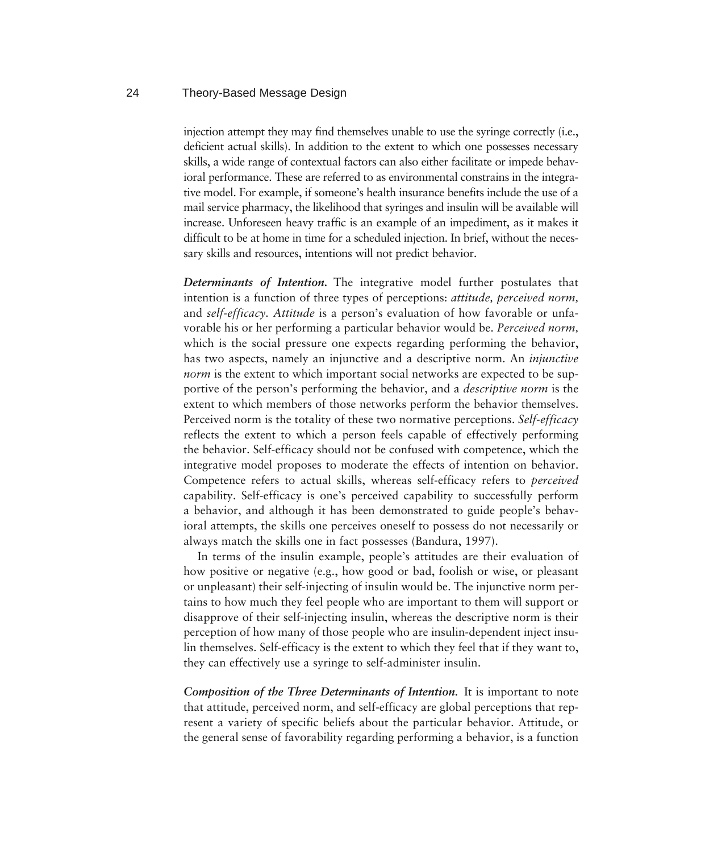injection attempt they may find themselves unable to use the syringe correctly (i.e., deficient actual skills). In addition to the extent to which one possesses necessary skills, a wide range of contextual factors can also either facilitate or impede behavioral performance. These are referred to as environmental constrains in the integrative model. For example, if someone's health insurance benefits include the use of a mail service pharmacy, the likelihood that syringes and insulin will be available will increase. Unforeseen heavy traffic is an example of an impediment, as it makes it difficult to be at home in time for a scheduled injection. In brief, without the necessary skills and resources, intentions will not predict behavior.

*Determinants of Intention.* The integrative model further postulates that intention is a function of three types of perceptions: *attitude, perceived norm,* and *self-efficacy. Attitude* is a person's evaluation of how favorable or unfavorable his or her performing a particular behavior would be. *Perceived norm,* which is the social pressure one expects regarding performing the behavior, has two aspects, namely an injunctive and a descriptive norm. An *injunctive norm* is the extent to which important social networks are expected to be supportive of the person's performing the behavior, and a *descriptive norm* is the extent to which members of those networks perform the behavior themselves. Perceived norm is the totality of these two normative perceptions. *Self-efficacy* reflects the extent to which a person feels capable of effectively performing the behavior. Self-efficacy should not be confused with competence, which the integrative model proposes to moderate the effects of intention on behavior. Competence refers to actual skills, whereas self-efficacy refers to *perceived* capability. Self-efficacy is one's perceived capability to successfully perform a behavior, and although it has been demonstrated to guide people's behavioral attempts, the skills one perceives oneself to possess do not necessarily or always match the skills one in fact possesses (Bandura, 1997).

In terms of the insulin example, people's attitudes are their evaluation of how positive or negative (e.g., how good or bad, foolish or wise, or pleasant or unpleasant) their self-injecting of insulin would be. The injunctive norm pertains to how much they feel people who are important to them will support or disapprove of their self-injecting insulin, whereas the descriptive norm is their perception of how many of those people who are insulin-dependent inject insulin themselves. Self-efficacy is the extent to which they feel that if they want to, they can effectively use a syringe to self-administer insulin.

*Composition of the Three Determinants of Intention.* It is important to note that attitude, perceived norm, and self-efficacy are global perceptions that represent a variety of specific beliefs about the particular behavior. Attitude, or the general sense of favorability regarding performing a behavior, is a function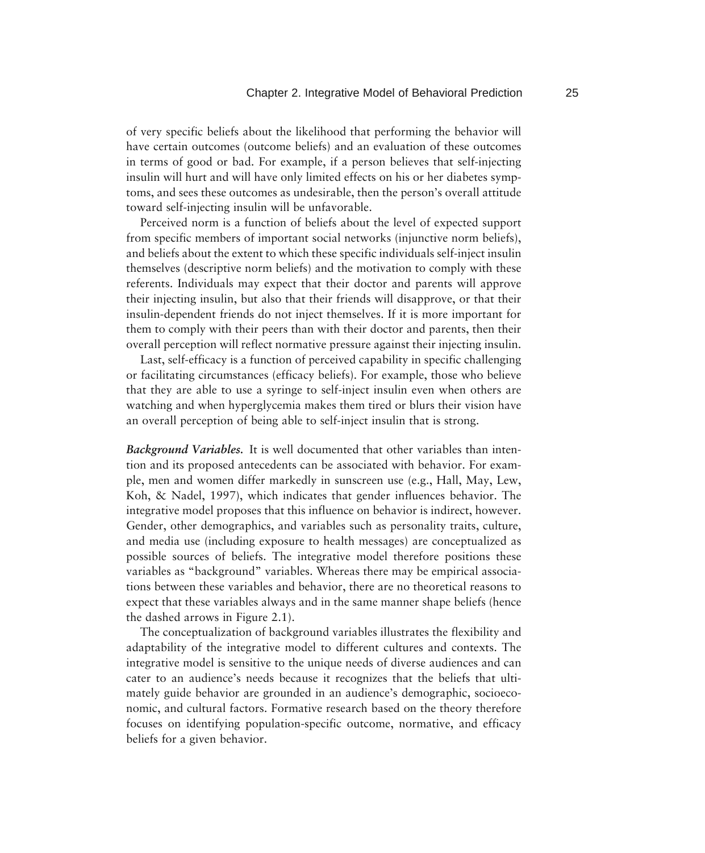of very specific beliefs about the likelihood that performing the behavior will have certain outcomes (outcome beliefs) and an evaluation of these outcomes in terms of good or bad. For example, if a person believes that self-injecting insulin will hurt and will have only limited effects on his or her diabetes symptoms, and sees these outcomes as undesirable, then the person's overall attitude toward self-injecting insulin will be unfavorable.

Perceived norm is a function of beliefs about the level of expected support from specific members of important social networks (injunctive norm beliefs), and beliefs about the extent to which these specific individuals self-inject insulin themselves (descriptive norm beliefs) and the motivation to comply with these referents. Individuals may expect that their doctor and parents will approve their injecting insulin, but also that their friends will disapprove, or that their insulin-dependent friends do not inject themselves. If it is more important for them to comply with their peers than with their doctor and parents, then their overall perception will reflect normative pressure against their injecting insulin.

Last, self-efficacy is a function of perceived capability in specific challenging or facilitating circumstances (efficacy beliefs). For example, those who believe that they are able to use a syringe to self-inject insulin even when others are watching and when hyperglycemia makes them tired or blurs their vision have an overall perception of being able to self-inject insulin that is strong.

*Background Variables.* It is well documented that other variables than intention and its proposed antecedents can be associated with behavior. For example, men and women differ markedly in sunscreen use (e.g., Hall, May, Lew, Koh, & Nadel, 1997), which indicates that gender influences behavior. The integrative model proposes that this influence on behavior is indirect, however. Gender, other demographics, and variables such as personality traits, culture, and media use (including exposure to health messages) are conceptualized as possible sources of beliefs. The integrative model therefore positions these variables as "background" variables. Whereas there may be empirical associations between these variables and behavior, there are no theoretical reasons to expect that these variables always and in the same manner shape beliefs (hence the dashed arrows in Figure 2.1).

The conceptualization of background variables illustrates the flexibility and adaptability of the integrative model to different cultures and contexts. The integrative model is sensitive to the unique needs of diverse audiences and can cater to an audience's needs because it recognizes that the beliefs that ultimately guide behavior are grounded in an audience's demographic, socioeconomic, and cultural factors. Formative research based on the theory therefore focuses on identifying population-specific outcome, normative, and efficacy beliefs for a given behavior.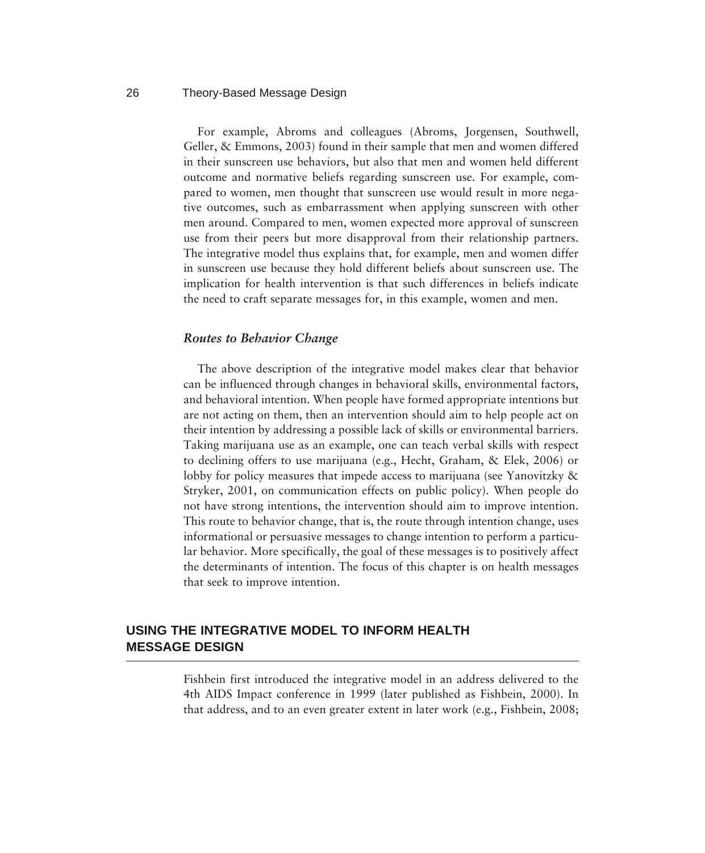For example, Abroms and colleagues (Abroms, Jorgensen, Southwell, Geller, & Emmons, 2003) found in their sample that men and women differed in their sunscreen use behaviors, but also that men and women held different outcome and normative beliefs regarding sunscreen use. For example, compared to women, men thought that sunscreen use would result in more negative outcomes, such as embarrassment when applying sunscreen with other men around. Compared to men, women expected more approval of sunscreen use from their peers but more disapproval from their relationship partners. The integrative model thus explains that, for example, men and women differ in sunscreen use because they hold different beliefs about sunscreen use. The implication for health intervention is that such differences in beliefs indicate the need to craft separate messages for, in this example, women and men.

#### *Routes to Behavior Change*

The above description of the integrative model makes clear that behavior can be influenced through changes in behavioral skills, environmental factors, and behavioral intention. When people have formed appropriate intentions but are not acting on them, then an intervention should aim to help people act on their intention by addressing a possible lack of skills or environmental barriers. Taking marijuana use as an example, one can teach verbal skills with respect to declining offers to use marijuana (e.g., Hecht, Graham, & Elek, 2006) or lobby for policy measures that impede access to marijuana (see Yanovitzky & Stryker, 2001, on communication effects on public policy). When people do not have strong intentions, the intervention should aim to improve intention. This route to behavior change, that is, the route through intention change, uses informational or persuasive messages to change intention to perform a particular behavior. More specifically, the goal of these messages is to positively affect the determinants of intention. The focus of this chapter is on health messages that seek to improve intention.

## **USING THE INTEGRATIVE MODEL TO INFORM HEALTH MESSAGE DESIGN**

Fishbein first introduced the integrative model in an address delivered to the 4th AIDS Impact conference in 1999 (later published as Fishbein, 2000). In that address, and to an even greater extent in later work (e.g., Fishbein, 2008;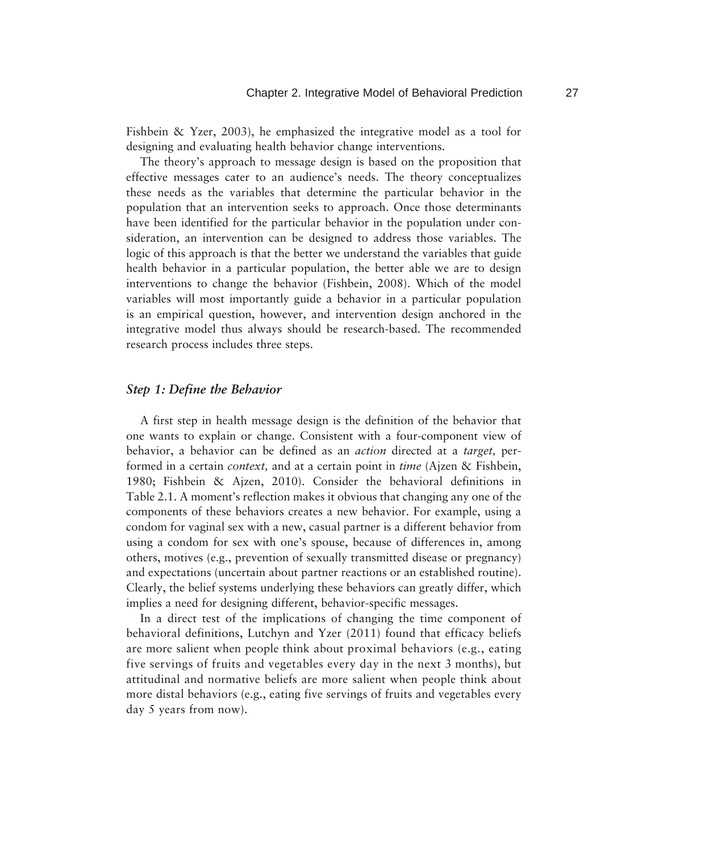Fishbein & Yzer, 2003), he emphasized the integrative model as a tool for designing and evaluating health behavior change interventions.

The theory's approach to message design is based on the proposition that effective messages cater to an audience's needs. The theory conceptualizes these needs as the variables that determine the particular behavior in the population that an intervention seeks to approach. Once those determinants have been identified for the particular behavior in the population under consideration, an intervention can be designed to address those variables. The logic of this approach is that the better we understand the variables that guide health behavior in a particular population, the better able we are to design interventions to change the behavior (Fishbein, 2008). Which of the model variables will most importantly guide a behavior in a particular population is an empirical question, however, and intervention design anchored in the integrative model thus always should be research-based. The recommended research process includes three steps.

#### *Step 1: Define the Behavior*

A first step in health message design is the definition of the behavior that one wants to explain or change. Consistent with a four-component view of behavior, a behavior can be defined as an *action* directed at a *target,* performed in a certain *context,* and at a certain point in *time* (Ajzen & Fishbein, 1980; Fishbein & Ajzen, 2010). Consider the behavioral definitions in Table 2.1. A moment's reflection makes it obvious that changing any one of the components of these behaviors creates a new behavior. For example, using a condom for vaginal sex with a new, casual partner is a different behavior from using a condom for sex with one's spouse, because of differences in, among others, motives (e.g., prevention of sexually transmitted disease or pregnancy) and expectations (uncertain about partner reactions or an established routine). Clearly, the belief systems underlying these behaviors can greatly differ, which implies a need for designing different, behavior-specific messages.

In a direct test of the implications of changing the time component of behavioral definitions, Lutchyn and Yzer (2011) found that efficacy beliefs are more salient when people think about proximal behaviors (e.g., eating five servings of fruits and vegetables every day in the next 3 months), but attitudinal and normative beliefs are more salient when people think about more distal behaviors (e.g., eating five servings of fruits and vegetables every day 5 years from now).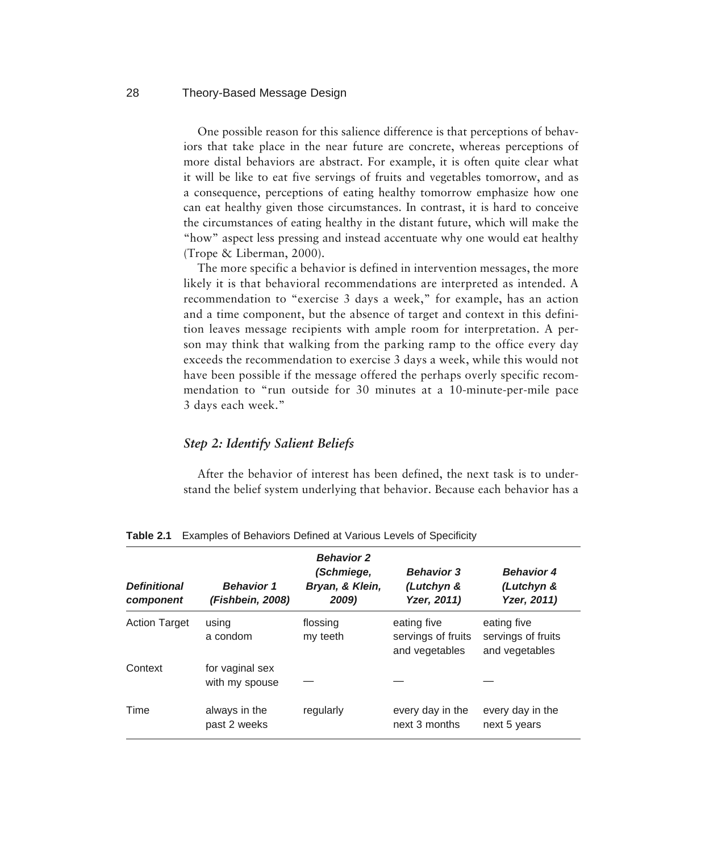One possible reason for this salience difference is that perceptions of behaviors that take place in the near future are concrete, whereas perceptions of more distal behaviors are abstract. For example, it is often quite clear what it will be like to eat five servings of fruits and vegetables tomorrow, and as a consequence, perceptions of eating healthy tomorrow emphasize how one can eat healthy given those circumstances. In contrast, it is hard to conceive the circumstances of eating healthy in the distant future, which will make the "how" aspect less pressing and instead accentuate why one would eat healthy (Trope & Liberman, 2000).

The more specific a behavior is defined in intervention messages, the more likely it is that behavioral recommendations are interpreted as intended. A recommendation to "exercise 3 days a week," for example, has an action and a time component, but the absence of target and context in this definition leaves message recipients with ample room for interpretation. A person may think that walking from the parking ramp to the office every day exceeds the recommendation to exercise 3 days a week, while this would not have been possible if the message offered the perhaps overly specific recommendation to "run outside for 30 minutes at a 10-minute-per-mile pace 3 days each week."

## *Step 2: Identify Salient Beliefs*

After the behavior of interest has been defined, the next task is to understand the belief system underlying that behavior. Because each behavior has a

| <b>Definitional</b>  | <b>Behavior 1</b>                 | <b>Behavior 2</b><br>(Schmiege,<br>Bryan, & Klein, | <b>Behavior 3</b><br>(Lutchyn &                     | <b>Behavior 4</b><br>(Lutchyn &                     |
|----------------------|-----------------------------------|----------------------------------------------------|-----------------------------------------------------|-----------------------------------------------------|
| component            | (Fishbein, 2008)                  | 2009)                                              | Yzer, 2011)                                         | Yzer, 2011)                                         |
| <b>Action Target</b> | using<br>a condom                 | flossing<br>my teeth                               | eating five<br>servings of fruits<br>and vegetables | eating five<br>servings of fruits<br>and vegetables |
| Context              | for vaginal sex<br>with my spouse |                                                    |                                                     |                                                     |
| Time                 | always in the<br>past 2 weeks     | regularly                                          | every day in the<br>next 3 months                   | every day in the<br>next 5 years                    |

**Table 2.1** Examples of Behaviors Defined at Various Levels of Specificity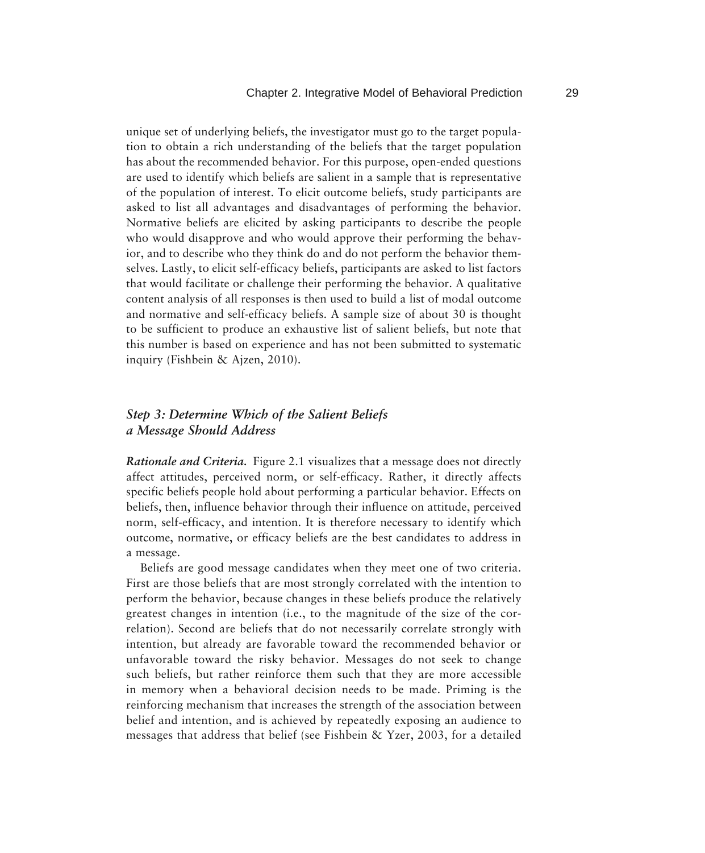unique set of underlying beliefs, the investigator must go to the target population to obtain a rich understanding of the beliefs that the target population has about the recommended behavior. For this purpose, open-ended questions are used to identify which beliefs are salient in a sample that is representative of the population of interest. To elicit outcome beliefs, study participants are asked to list all advantages and disadvantages of performing the behavior. Normative beliefs are elicited by asking participants to describe the people who would disapprove and who would approve their performing the behavior, and to describe who they think do and do not perform the behavior themselves. Lastly, to elicit self-efficacy beliefs, participants are asked to list factors that would facilitate or challenge their performing the behavior. A qualitative content analysis of all responses is then used to build a list of modal outcome and normative and self-efficacy beliefs. A sample size of about 30 is thought to be sufficient to produce an exhaustive list of salient beliefs, but note that this number is based on experience and has not been submitted to systematic inquiry (Fishbein & Ajzen, 2010).

## *Step 3: Determine Which of the Salient Beliefs a Message Should Address*

*Rationale and Criteria.* Figure 2.1 visualizes that a message does not directly affect attitudes, perceived norm, or self-efficacy. Rather, it directly affects specific beliefs people hold about performing a particular behavior. Effects on beliefs, then, influence behavior through their influence on attitude, perceived norm, self-efficacy, and intention. It is therefore necessary to identify which outcome, normative, or efficacy beliefs are the best candidates to address in a message.

Beliefs are good message candidates when they meet one of two criteria. First are those beliefs that are most strongly correlated with the intention to perform the behavior, because changes in these beliefs produce the relatively greatest changes in intention (i.e., to the magnitude of the size of the correlation). Second are beliefs that do not necessarily correlate strongly with intention, but already are favorable toward the recommended behavior or unfavorable toward the risky behavior. Messages do not seek to change such beliefs, but rather reinforce them such that they are more accessible in memory when a behavioral decision needs to be made. Priming is the reinforcing mechanism that increases the strength of the association between belief and intention, and is achieved by repeatedly exposing an audience to messages that address that belief (see Fishbein & Yzer, 2003, for a detailed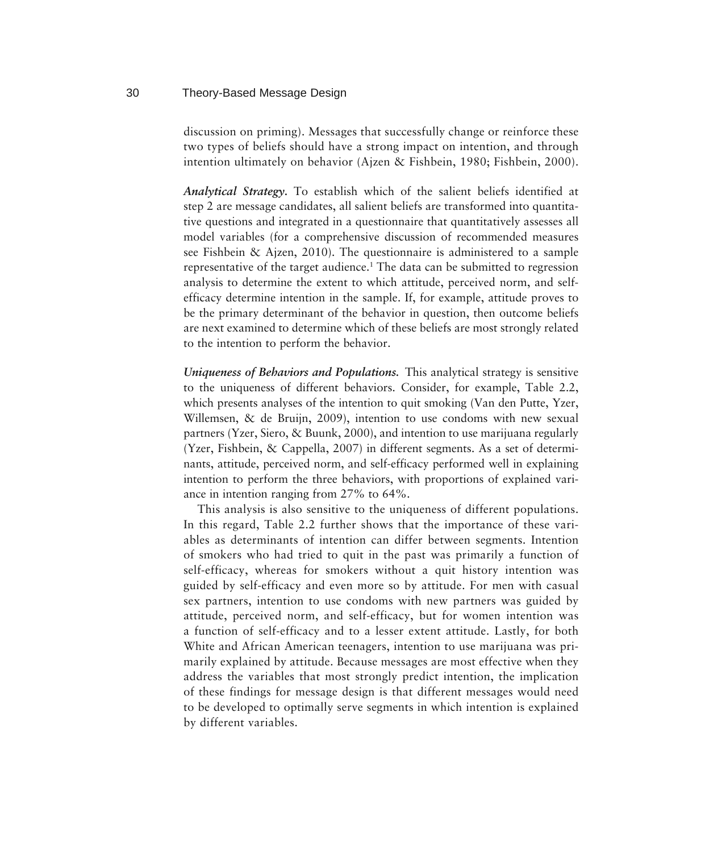discussion on priming). Messages that successfully change or reinforce these two types of beliefs should have a strong impact on intention, and through intention ultimately on behavior (Ajzen & Fishbein, 1980; Fishbein, 2000).

*Analytical Strategy.* To establish which of the salient beliefs identified at step 2 are message candidates, all salient beliefs are transformed into quantitative questions and integrated in a questionnaire that quantitatively assesses all model variables (for a comprehensive discussion of recommended measures see Fishbein & Ajzen, 2010). The questionnaire is administered to a sample representative of the target audience.<sup>1</sup> The data can be submitted to regression analysis to determine the extent to which attitude, perceived norm, and selfefficacy determine intention in the sample. If, for example, attitude proves to be the primary determinant of the behavior in question, then outcome beliefs are next examined to determine which of these beliefs are most strongly related to the intention to perform the behavior.

*Uniqueness of Behaviors and Populations.* This analytical strategy is sensitive to the uniqueness of different behaviors. Consider, for example, Table 2.2, which presents analyses of the intention to quit smoking (Van den Putte, Yzer, Willemsen, & de Bruijn, 2009), intention to use condoms with new sexual partners (Yzer, Siero, & Buunk, 2000), and intention to use marijuana regularly (Yzer, Fishbein, & Cappella, 2007) in different segments. As a set of determinants, attitude, perceived norm, and self-efficacy performed well in explaining intention to perform the three behaviors, with proportions of explained variance in intention ranging from 27% to 64%.

This analysis is also sensitive to the uniqueness of different populations. In this regard, Table 2.2 further shows that the importance of these variables as determinants of intention can differ between segments. Intention of smokers who had tried to quit in the past was primarily a function of self-efficacy, whereas for smokers without a quit history intention was guided by self-efficacy and even more so by attitude. For men with casual sex partners, intention to use condoms with new partners was guided by attitude, perceived norm, and self-efficacy, but for women intention was a function of self-efficacy and to a lesser extent attitude. Lastly, for both White and African American teenagers, intention to use marijuana was primarily explained by attitude. Because messages are most effective when they address the variables that most strongly predict intention, the implication of these findings for message design is that different messages would need to be developed to optimally serve segments in which intention is explained by different variables.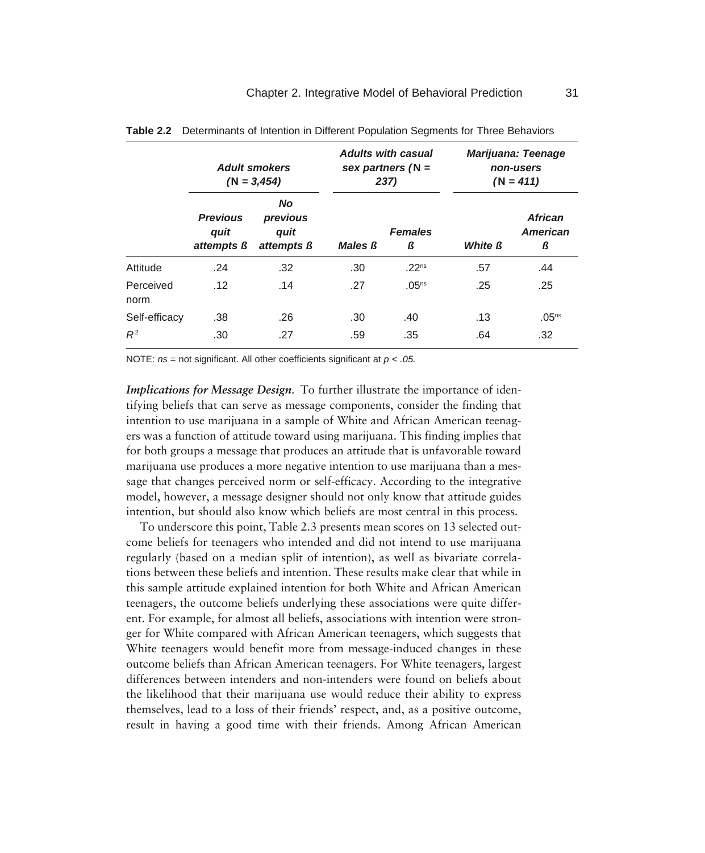|                   |                                              | <b>Adult smokers</b><br>$(N = 3,454)$              | <b>Adults with casual</b><br>237) | sex partners $(N =$ |                | <b>Marijuana: Teenage</b><br>non-users<br>$(N = 411)$ |
|-------------------|----------------------------------------------|----------------------------------------------------|-----------------------------------|---------------------|----------------|-------------------------------------------------------|
|                   | <b>Previous</b><br>quit<br>attempts <b>ß</b> | <b>No</b><br>previous<br>quit<br>attempts <b>ß</b> | <b>Males B</b>                    | <b>Females</b><br>ß | <b>White ß</b> | <b>African</b><br><b>American</b><br>ß                |
| Attitude          | .24                                          | .32                                                | .30                               | .22 <sup>ns</sup>   | .57            | .44                                                   |
| Perceived<br>norm | .12                                          | .14                                                | .27                               | .05 <sup>ns</sup>   | .25            | .25                                                   |
| Self-efficacy     | .38                                          | .26                                                | .30                               | .40                 | .13            | .05 <sup>ns</sup>                                     |
| $R^2$             | .30                                          | .27                                                | .59                               | .35                 | .64            | .32                                                   |

**Table 2.2** Determinants of Intention in Different Population Segments for Three Behaviors

NOTE: *ns* = not significant. All other coefficients significant at *p < .05.*

*Implications for Message Design.* To further illustrate the importance of identifying beliefs that can serve as message components, consider the finding that intention to use marijuana in a sample of White and African American teenagers was a function of attitude toward using marijuana. This finding implies that for both groups a message that produces an attitude that is unfavorable toward marijuana use produces a more negative intention to use marijuana than a message that changes perceived norm or self-efficacy. According to the integrative model, however, a message designer should not only know that attitude guides intention, but should also know which beliefs are most central in this process.

To underscore this point, Table 2.3 presents mean scores on 13 selected outcome beliefs for teenagers who intended and did not intend to use marijuana regularly (based on a median split of intention), as well as bivariate correlations between these beliefs and intention. These results make clear that while in this sample attitude explained intention for both White and African American teenagers, the outcome beliefs underlying these associations were quite different. For example, for almost all beliefs, associations with intention were stronger for White compared with African American teenagers, which suggests that White teenagers would benefit more from message-induced changes in these outcome beliefs than African American teenagers. For White teenagers, largest differences between intenders and non-intenders were found on beliefs about the likelihood that their marijuana use would reduce their ability to express themselves, lead to a loss of their friends' respect, and, as a positive outcome, result in having a good time with their friends. Among African American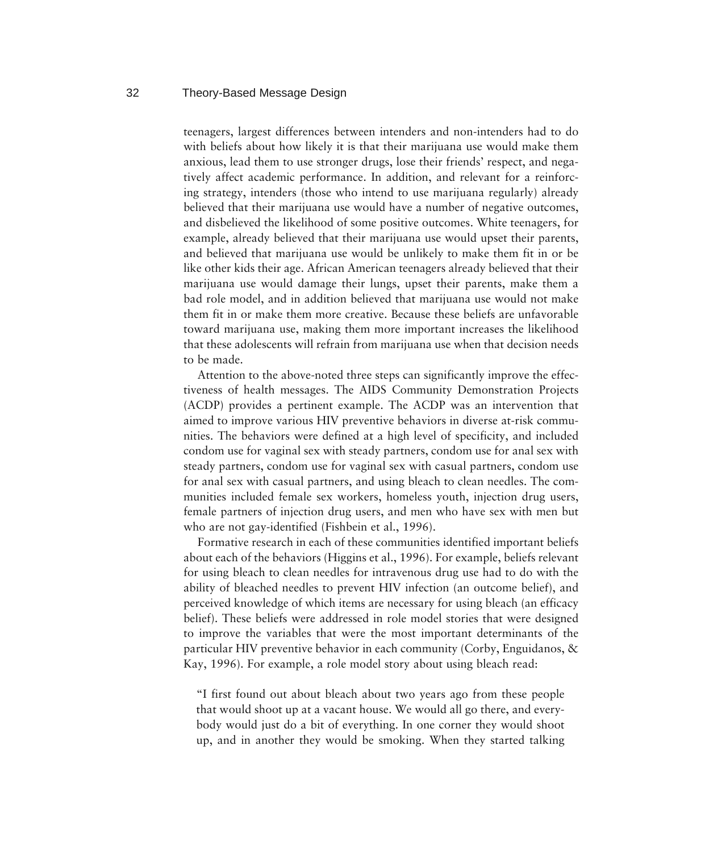teenagers, largest differences between intenders and non-intenders had to do with beliefs about how likely it is that their marijuana use would make them anxious, lead them to use stronger drugs, lose their friends' respect, and negatively affect academic performance. In addition, and relevant for a reinforcing strategy, intenders (those who intend to use marijuana regularly) already believed that their marijuana use would have a number of negative outcomes, and disbelieved the likelihood of some positive outcomes. White teenagers, for example, already believed that their marijuana use would upset their parents, and believed that marijuana use would be unlikely to make them fit in or be like other kids their age. African American teenagers already believed that their marijuana use would damage their lungs, upset their parents, make them a bad role model, and in addition believed that marijuana use would not make them fit in or make them more creative. Because these beliefs are unfavorable toward marijuana use, making them more important increases the likelihood that these adolescents will refrain from marijuana use when that decision needs to be made.

Attention to the above-noted three steps can significantly improve the effectiveness of health messages. The AIDS Community Demonstration Projects (ACDP) provides a pertinent example. The ACDP was an intervention that aimed to improve various HIV preventive behaviors in diverse at-risk communities. The behaviors were defined at a high level of specificity, and included condom use for vaginal sex with steady partners, condom use for anal sex with steady partners, condom use for vaginal sex with casual partners, condom use for anal sex with casual partners, and using bleach to clean needles. The communities included female sex workers, homeless youth, injection drug users, female partners of injection drug users, and men who have sex with men but who are not gay-identified (Fishbein et al., 1996).

Formative research in each of these communities identified important beliefs about each of the behaviors (Higgins et al., 1996). For example, beliefs relevant for using bleach to clean needles for intravenous drug use had to do with the ability of bleached needles to prevent HIV infection (an outcome belief), and perceived knowledge of which items are necessary for using bleach (an efficacy belief). These beliefs were addressed in role model stories that were designed to improve the variables that were the most important determinants of the particular HIV preventive behavior in each community (Corby, Enguidanos, & Kay, 1996). For example, a role model story about using bleach read:

"I first found out about bleach about two years ago from these people that would shoot up at a vacant house. We would all go there, and everybody would just do a bit of everything. In one corner they would shoot up, and in another they would be smoking. When they started talking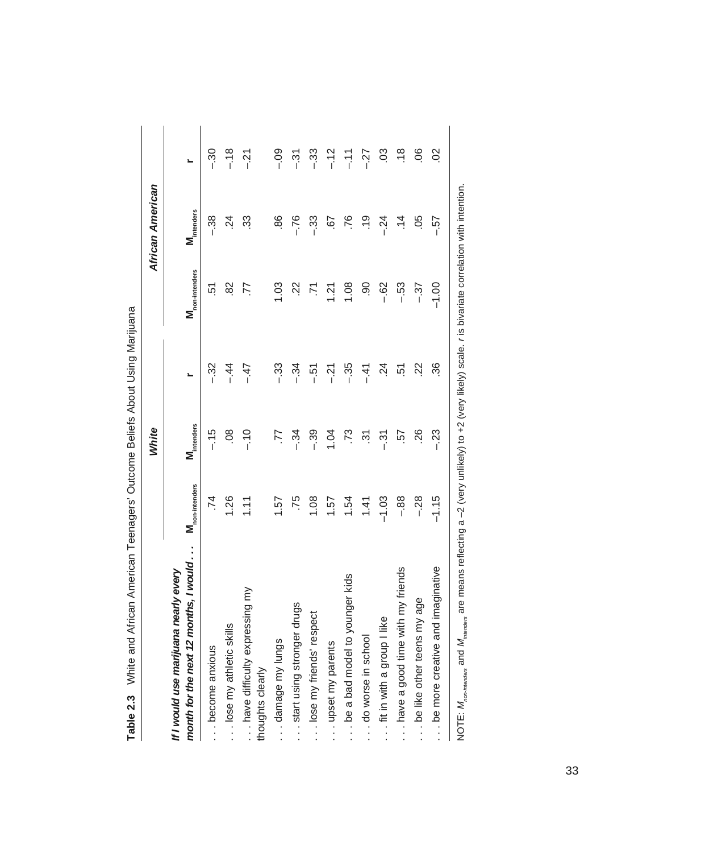|                                                                                       |                    | White                  |                |                    | African American       |                |
|---------------------------------------------------------------------------------------|--------------------|------------------------|----------------|--------------------|------------------------|----------------|
| 12 months, I would<br>uana nearly every<br>If I would use marij<br>month for the next | non-intenders<br>Σ | M <sub>intenders</sub> |                | non-intenders<br>Σ | M <sub>intenders</sub> | <u>،</u>       |
| $\overline{\mathbf{v}}$<br>become anxiou                                              | .74                | $-15$                  | $-32$          | 51                 | $-38$                  | $-30$          |
| lose my athletic skills                                                               | 1.26               | 08                     | $-44$          | 82                 | $\frac{5}{4}$          | $-18$          |
| have difficulty expressing my<br>thoughts clearly                                     | 1.11               | $-10$                  | $-47$          | 77                 | 33                     | ار<br>-        |
| damage my lungs                                                                       | 1.57               | 77                     | - 33           | 1.03               | 86                     | $-0.9$         |
| start using stronger drugs                                                            | .75                | $-34$                  | $-34$          | $\overline{2}$     | $-76$                  | $\overline{3}$ |
| lose my friends' respect                                                              | 1.08               | $-39$                  | $-51$          | 71                 | $-33$                  | $-33$          |
| upset my parents                                                                      | 1.57               | 1.04                   | $-21$          | 1.21               | 57                     | $-12$          |
| be a bad model to younger kids                                                        | 1.54               | .73                    | $-35$          | 1.08               | .76                    | $-11$          |
| do worse in school                                                                    | 1.41               | $\tilde{3}$            | $-41$          | 90                 | $\frac{0}{1}$          | $-27$          |
| fit in with a group I like                                                            | $-1.03$            | $\overline{3}$         | $\overline{c}$ | $-62$              | $-24$                  | 03             |
| have a good time with my friends                                                      | $-88$              | 57                     | 51             | $-53$              | $\dot{=}$              | $\frac{8}{1}$  |
| be like other teens my age                                                            | $-28$              | 26                     | 22             | $-37$              | .05                    | 80.            |
| e and imaginative<br>be more creativ                                                  | $-1.15$            | $-23$                  | 36             | $-1.00$            | - 57                   | $\frac{2}{3}$  |
|                                                                                       | i                  |                        |                |                    |                        |                |

Table 2.3 White and African American Teenagers' Outcome Beliefs About Using Marijuana **Table 2.3** White and African American Teenagers' Outcome Beliefs About Using Marijuana

NOTE: M<sub>ron-Interses</sub> and M<sub>interses</sub> are means reflecting a -2 (very unlikely) to +2 (very likely) scale. r is bivariate correlation with intention. NOTE: *Mnon-intenders* and *Mintenders* are means reflecting a –2 (very unlikely) to +2 (very likely) scale. *r* is bivariate correlation with intention.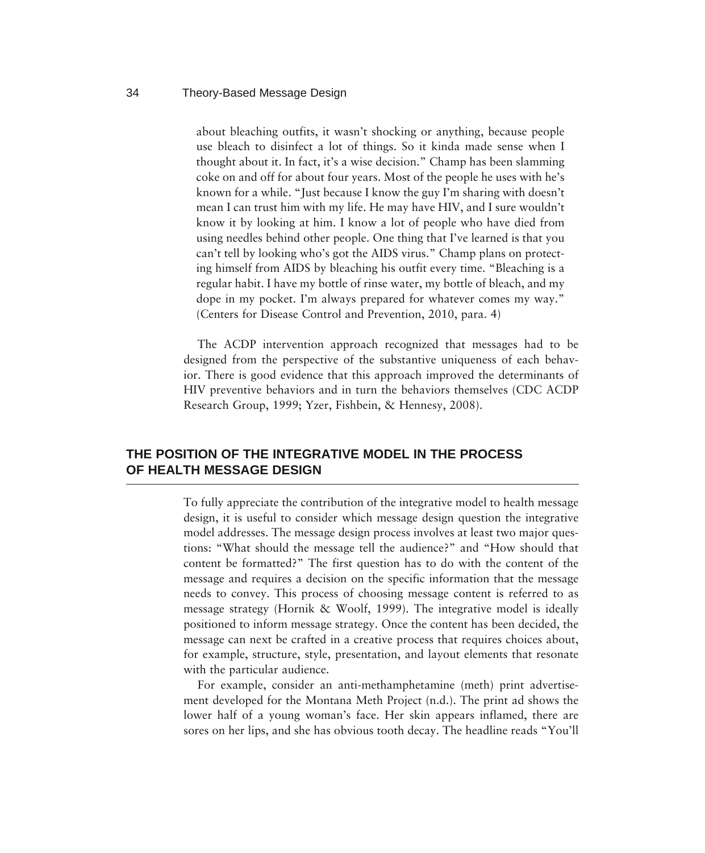about bleaching outfits, it wasn't shocking or anything, because people use bleach to disinfect a lot of things. So it kinda made sense when I thought about it. In fact, it's a wise decision." Champ has been slamming coke on and off for about four years. Most of the people he uses with he's known for a while. "Just because I know the guy I'm sharing with doesn't mean I can trust him with my life. He may have HIV, and I sure wouldn't know it by looking at him. I know a lot of people who have died from using needles behind other people. One thing that I've learned is that you can't tell by looking who's got the AIDS virus." Champ plans on protecting himself from AIDS by bleaching his outfit every time. "Bleaching is a regular habit. I have my bottle of rinse water, my bottle of bleach, and my dope in my pocket. I'm always prepared for whatever comes my way." (Centers for Disease Control and Prevention, 2010, para. 4)

The ACDP intervention approach recognized that messages had to be designed from the perspective of the substantive uniqueness of each behavior. There is good evidence that this approach improved the determinants of HIV preventive behaviors and in turn the behaviors themselves (CDC ACDP Research Group, 1999; Yzer, Fishbein, & Hennesy, 2008).

## **THE POSITION OF THE INTEGRATIVE MODEL IN THE PROCESS OF HEALTH MESSAGE DESIGN**

To fully appreciate the contribution of the integrative model to health message design, it is useful to consider which message design question the integrative model addresses. The message design process involves at least two major questions: "What should the message tell the audience?" and "How should that content be formatted?" The first question has to do with the content of the message and requires a decision on the specific information that the message needs to convey. This process of choosing message content is referred to as message strategy (Hornik & Woolf, 1999). The integrative model is ideally positioned to inform message strategy. Once the content has been decided, the message can next be crafted in a creative process that requires choices about, for example, structure, style, presentation, and layout elements that resonate with the particular audience.

For example, consider an anti-methamphetamine (meth) print advertisement developed for the Montana Meth Project (n.d.). The print ad shows the lower half of a young woman's face. Her skin appears inflamed, there are sores on her lips, and she has obvious tooth decay. The headline reads "You'll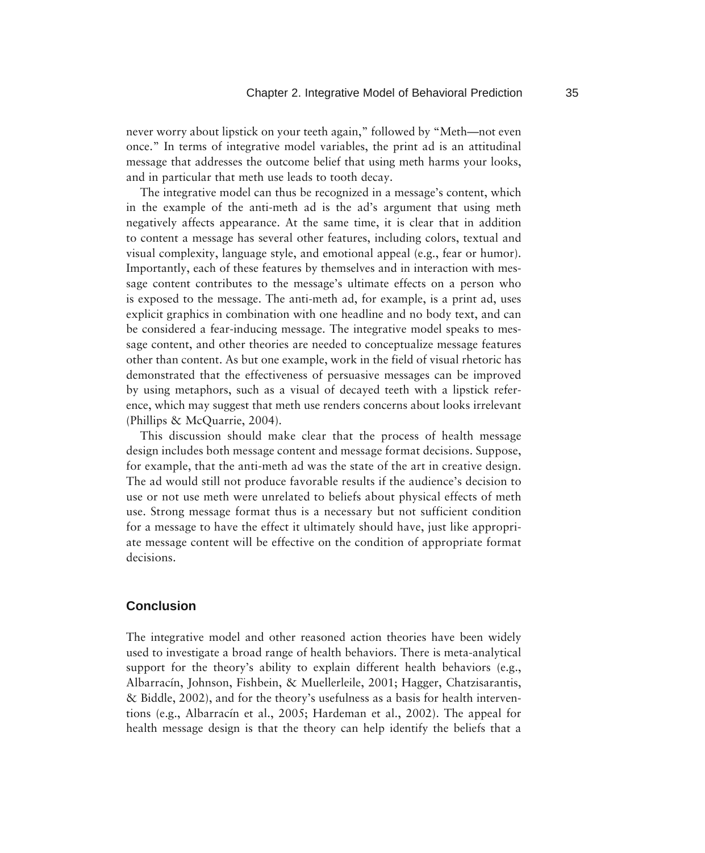never worry about lipstick on your teeth again," followed by "Meth—not even once." In terms of integrative model variables, the print ad is an attitudinal message that addresses the outcome belief that using meth harms your looks, and in particular that meth use leads to tooth decay.

The integrative model can thus be recognized in a message's content, which in the example of the anti-meth ad is the ad's argument that using meth negatively affects appearance. At the same time, it is clear that in addition to content a message has several other features, including colors, textual and visual complexity, language style, and emotional appeal (e.g., fear or humor). Importantly, each of these features by themselves and in interaction with message content contributes to the message's ultimate effects on a person who is exposed to the message. The anti-meth ad, for example, is a print ad, uses explicit graphics in combination with one headline and no body text, and can be considered a fear-inducing message. The integrative model speaks to message content, and other theories are needed to conceptualize message features other than content. As but one example, work in the field of visual rhetoric has demonstrated that the effectiveness of persuasive messages can be improved by using metaphors, such as a visual of decayed teeth with a lipstick reference, which may suggest that meth use renders concerns about looks irrelevant (Phillips & McQuarrie, 2004).

This discussion should make clear that the process of health message design includes both message content and message format decisions. Suppose, for example, that the anti-meth ad was the state of the art in creative design. The ad would still not produce favorable results if the audience's decision to use or not use meth were unrelated to beliefs about physical effects of meth use. Strong message format thus is a necessary but not sufficient condition for a message to have the effect it ultimately should have, just like appropriate message content will be effective on the condition of appropriate format decisions.

## **Conclusion**

The integrative model and other reasoned action theories have been widely used to investigate a broad range of health behaviors. There is meta-analytical support for the theory's ability to explain different health behaviors (e.g., Albarracín, Johnson, Fishbein, & Muellerleile, 2001; Hagger, Chatzisarantis, & Biddle, 2002), and for the theory's usefulness as a basis for health interventions (e.g., Albarracín et al., 2005; Hardeman et al., 2002). The appeal for health message design is that the theory can help identify the beliefs that a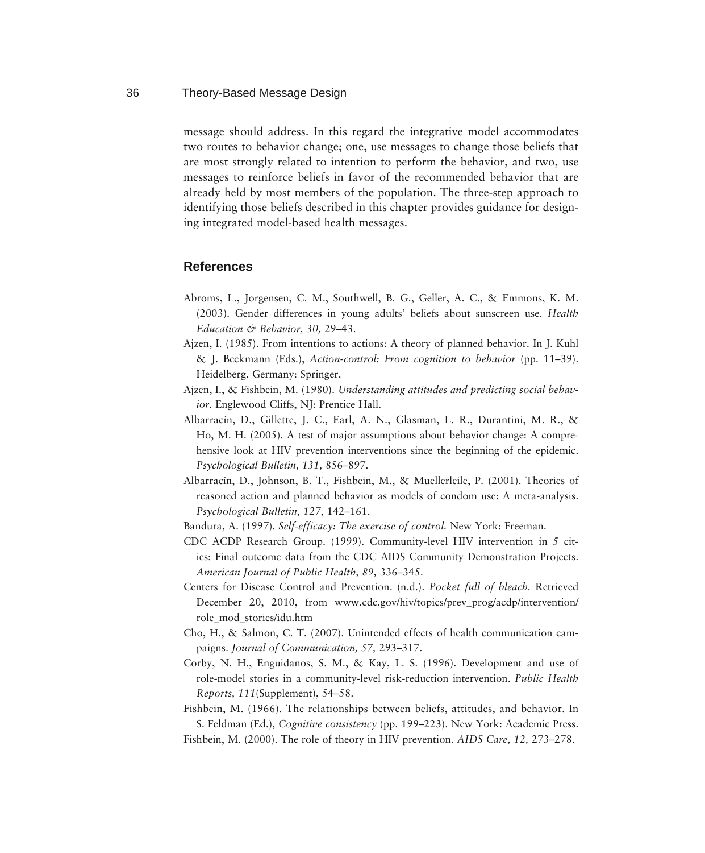message should address. In this regard the integrative model accommodates two routes to behavior change; one, use messages to change those beliefs that are most strongly related to intention to perform the behavior, and two, use messages to reinforce beliefs in favor of the recommended behavior that are already held by most members of the population. The three-step approach to identifying those beliefs described in this chapter provides guidance for designing integrated model-based health messages.

## **References**

- Abroms, L., Jorgensen, C. M., Southwell, B. G., Geller, A. C., & Emmons, K. M. (2003). Gender differences in young adults' beliefs about sunscreen use. *Health Education & Behavior, 30,* 29–43.
- Ajzen, I. (1985). From intentions to actions: A theory of planned behavior. In J. Kuhl & J. Beckmann (Eds.), *Action-control: From cognition to behavior* (pp. 11–39). Heidelberg, Germany: Springer.
- Ajzen, I., & Fishbein, M. (1980). *Understanding attitudes and predicting social behavior.* Englewood Cliffs, NJ: Prentice Hall.
- Albarracín, D., Gillette, J. C., Earl, A. N., Glasman, L. R., Durantini, M. R., & Ho, M. H. (2005). A test of major assumptions about behavior change: A comprehensive look at HIV prevention interventions since the beginning of the epidemic. *Psychological Bulletin, 131,* 856–897.
- Albarracín, D., Johnson, B. T., Fishbein, M., & Muellerleile, P. (2001). Theories of reasoned action and planned behavior as models of condom use: A meta-analysis. *Psychological Bulletin, 127,* 142–161.
- Bandura, A. (1997). *Self-efficacy: The exercise of control.* New York: Freeman.
- CDC ACDP Research Group. (1999). Community-level HIV intervention in 5 cities: Final outcome data from the CDC AIDS Community Demonstration Projects. *American Journal of Public Health, 89,* 336–345.
- Centers for Disease Control and Prevention. (n.d.). *Pocket full of bleach.* Retrieved December 20, 2010, from www.cdc.gov/hiv/topics/prev\_prog/acdp/intervention/ role\_mod\_stories/idu.htm
- Cho, H., & Salmon, C. T. (2007). Unintended effects of health communication campaigns. *Journal of Communication, 57,* 293–317.
- Corby, N. H., Enguidanos, S. M., & Kay, L. S. (1996). Development and use of role-model stories in a community-level risk-reduction intervention. *Public Health Reports, 111*(Supplement), 54–58.
- Fishbein, M. (1966). The relationships between beliefs, attitudes, and behavior. In S. Feldman (Ed.), *Cognitive consistency* (pp. 199–223). New York: Academic Press. Fishbein, M. (2000). The role of theory in HIV prevention. *AIDS Care, 12,* 273–278.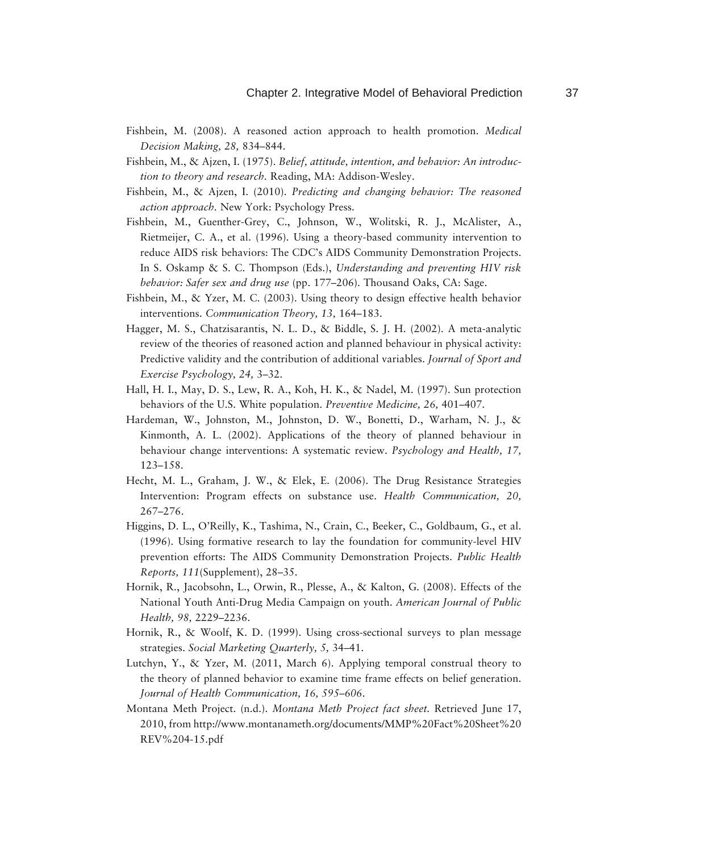- Fishbein, M. (2008). A reasoned action approach to health promotion. *Medical Decision Making, 28,* 834–844.
- Fishbein, M., & Ajzen, I. (1975). *Belief, attitude, intention, and behavior: An introduction to theory and research.* Reading, MA: Addison-Wesley.
- Fishbein, M., & Ajzen, I. (2010). *Predicting and changing behavior: The reasoned action approach.* New York: Psychology Press.
- Fishbein, M., Guenther-Grey, C., Johnson, W., Wolitski, R. J., McAlister, A., Rietmeijer, C. A., et al. (1996). Using a theory-based community intervention to reduce AIDS risk behaviors: The CDC's AIDS Community Demonstration Projects. In S. Oskamp & S. C. Thompson (Eds.), *Understanding and preventing HIV risk behavior: Safer sex and drug use* (pp. 177–206) *.* Thousand Oaks, CA: Sage.
- Fishbein, M., & Yzer, M. C. (2003). Using theory to design effective health behavior interventions. *Communication Theory, 13,* 164–183.
- Hagger, M. S., Chatzisarantis, N. L. D., & Biddle, S. J. H. (2002). A meta-analytic review of the theories of reasoned action and planned behaviour in physical activity: Predictive validity and the contribution of additional variables. *Journal of Sport and Exercise Psychology, 24,* 3–32.
- Hall, H. I., May, D. S., Lew, R. A., Koh, H. K., & Nadel, M. (1997). Sun protection behaviors of the U.S. White population. *Preventive Medicine, 26,* 401–407.
- Hardeman, W., Johnston, M., Johnston, D. W., Bonetti, D., Warham, N. J., & Kinmonth, A. L. (2002). Applications of the theory of planned behaviour in behaviour change interventions: A systematic review. *Psychology and Health, 17,*  123–158.
- Hecht, M. L., Graham, J. W., & Elek, E. (2006). The Drug Resistance Strategies Intervention: Program effects on substance use. *Health Communication, 20,* 267–276.
- Higgins, D. L., O'Reilly, K., Tashima, N., Crain, C., Beeker, C., Goldbaum, G., et al. (1996). Using formative research to lay the foundation for community-level HIV prevention efforts: The AIDS Community Demonstration Projects. *Public Health Reports, 111*(Supplement), 28–35.
- Hornik, R., Jacobsohn, L., Orwin, R., Plesse, A., & Kalton, G. (2008). Effects of the National Youth Anti-Drug Media Campaign on youth. *American Journal of Public Health, 98,* 2229–2236.
- Hornik, R., & Woolf, K. D. (1999). Using cross-sectional surveys to plan message strategies. *Social Marketing Quarterly, 5,* 34–41.
- Lutchyn, Y., & Yzer, M. (2011, March 6). Applying temporal construal theory to the theory of planned behavior to examine time frame effects on belief generation. *Journal of Health Communication, 16, 595–606*.
- Montana Meth Project. (n.d.). *Montana Meth Project fact sheet.* Retrieved June 17, 2010, from http://www.montanameth.org/documents/MMP%20Fact%20Sheet%20 REV%204-15.pdf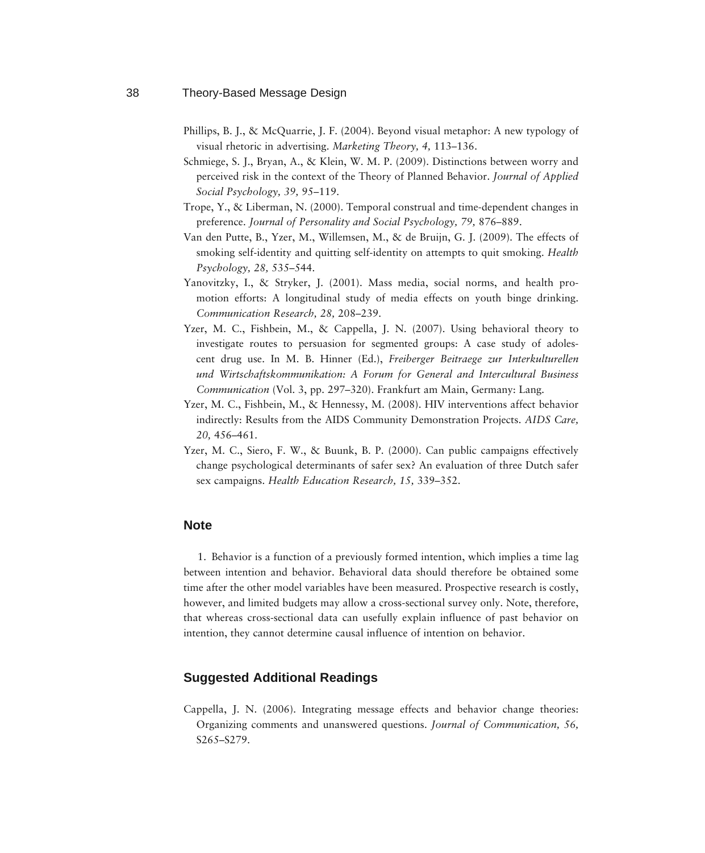- Phillips, B. J., & McQuarrie, J. F. (2004). Beyond visual metaphor: A new typology of visual rhetoric in advertising. *Marketing Theory, 4,* 113–136.
- Schmiege, S. J., Bryan, A., & Klein, W. M. P. (2009). Distinctions between worry and perceived risk in the context of the Theory of Planned Behavior. *Journal of Applied Social Psychology, 39,* 95–119.
- Trope, Y., & Liberman, N. (2000). Temporal construal and time-dependent changes in preference. *Journal of Personality and Social Psychology, 79,* 876–889.
- Van den Putte, B., Yzer, M., Willemsen, M., & de Bruijn, G. J. (2009). The effects of smoking self-identity and quitting self-identity on attempts to quit smoking. *Health Psychology, 28,* 535–544.
- Yanovitzky, I., & Stryker, J. (2001). Mass media, social norms, and health promotion efforts: A longitudinal study of media effects on youth binge drinking. *Communication Research, 28,* 208–239.
- Yzer, M. C., Fishbein, M., & Cappella, J. N. (2007). Using behavioral theory to investigate routes to persuasion for segmented groups: A case study of adolescent drug use. In M. B. Hinner (Ed.), *Freiberger Beitraege zur Interkulturellen und Wirtschaftskommunikation: A Forum for General and Intercultural Business Communication* (Vol. 3, pp. 297–320). Frankfurt am Main, Germany: Lang.
- Yzer, M. C., Fishbein, M., & Hennessy, M. (2008). HIV interventions affect behavior indirectly: Results from the AIDS Community Demonstration Projects. *AIDS Care, 20,* 456–461.
- Yzer, M. C., Siero, F. W., & Buunk, B. P. (2000). Can public campaigns effectively change psychological determinants of safer sex? An evaluation of three Dutch safer sex campaigns. *Health Education Research, 15,* 339–352.

#### **Note**

1. Behavior is a function of a previously formed intention, which implies a time lag between intention and behavior. Behavioral data should therefore be obtained some time after the other model variables have been measured. Prospective research is costly, however, and limited budgets may allow a cross-sectional survey only. Note, therefore, that whereas cross-sectional data can usefully explain influence of past behavior on intention, they cannot determine causal influence of intention on behavior.

## **Suggested Additional Readings**

Cappella, J. N. (2006). Integrating message effects and behavior change theories: Organizing comments and unanswered questions. *Journal of Communication, 56,* S265–S279.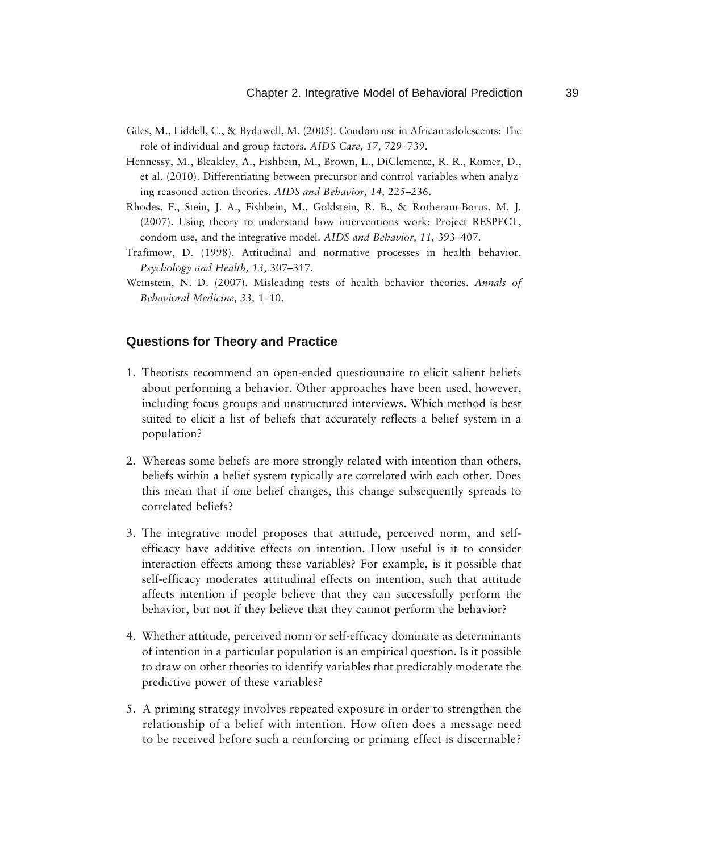- Giles, M., Liddell, C., & Bydawell, M. (2005). Condom use in African adolescents: The role of individual and group factors. *AIDS Care, 17,* 729–739.
- Hennessy, M., Bleakley, A., Fishbein, M., Brown, L., DiClemente, R. R., Romer, D., et al. (2010). Differentiating between precursor and control variables when analyzing reasoned action theories. *AIDS and Behavior, 14,* 225–236.
- Rhodes, F., Stein, J. A., Fishbein, M., Goldstein, R. B., & Rotheram-Borus, M. J. (2007). Using theory to understand how interventions work: Project RESPECT, condom use, and the integrative model. *AIDS and Behavior, 11,* 393–407.
- Trafimow, D. (1998). Attitudinal and normative processes in health behavior. *Psychology and Health, 13,* 307–317.
- Weinstein, N. D. (2007). Misleading tests of health behavior theories. *Annals of Behavioral Medicine, 33,* 1–10.

## **Questions for Theory and Practice**

- 1. Theorists recommend an open-ended questionnaire to elicit salient beliefs about performing a behavior. Other approaches have been used, however, including focus groups and unstructured interviews. Which method is best suited to elicit a list of beliefs that accurately reflects a belief system in a population?
- 2. Whereas some beliefs are more strongly related with intention than others, beliefs within a belief system typically are correlated with each other. Does this mean that if one belief changes, this change subsequently spreads to correlated beliefs?
- 3. The integrative model proposes that attitude, perceived norm, and selfefficacy have additive effects on intention. How useful is it to consider interaction effects among these variables? For example, is it possible that self-efficacy moderates attitudinal effects on intention, such that attitude affects intention if people believe that they can successfully perform the behavior, but not if they believe that they cannot perform the behavior?
- 4. Whether attitude, perceived norm or self-efficacy dominate as determinants of intention in a particular population is an empirical question. Is it possible to draw on other theories to identify variables that predictably moderate the predictive power of these variables?
- 5. A priming strategy involves repeated exposure in order to strengthen the relationship of a belief with intention. How often does a message need to be received before such a reinforcing or priming effect is discernable?